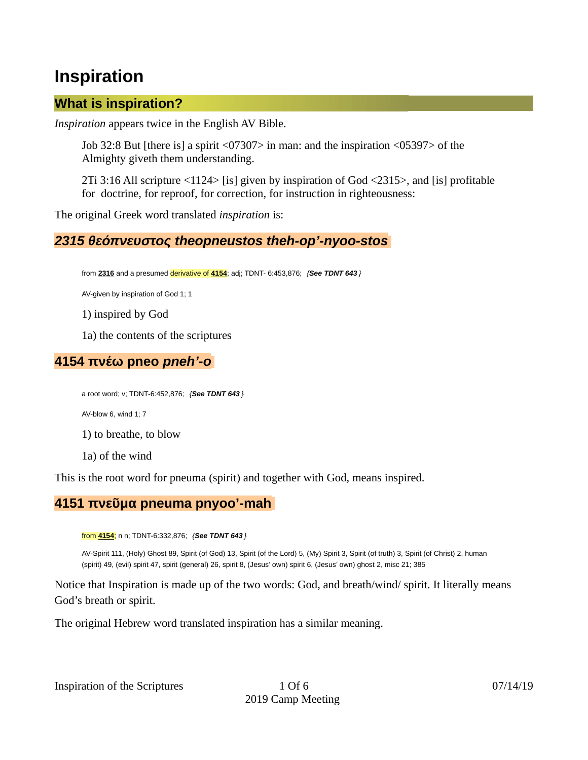# **Inspiration**

## **What is inspiration?**

*Inspiration* appears twice in the English AV Bible.

Job 32:8 But [there is] a spirit <07307> in man: and the inspiration <05397> of the Almighty giveth them understanding.

2Ti 3:16 All scripture <1124> [is] given by inspiration of God <2315>, and [is] profitable for doctrine, for reproof, for correction, for instruction in righteousness:

The original Greek word translated *inspiration* is:

## *2315 θεόπνευστος theopneustos theh-op'-nyoo-stos*

from **2316** and a presumed derivative of **4154**; adj; TDNT- 6:453,876; *{See TDNT 643 }*

AV-given by inspiration of God 1; 1

1) inspired by God

1a) the contents of the scriptures

## **4154 πνέω pneo** *pneh'-o*

a root word; v; TDNT-6:452,876; *{See TDNT 643 }*

AV-blow 6, wind 1; 7

1) to breathe, to blow

1a) of the wind

This is the root word for pneuma (spirit) and together with God, means inspired.

## **4151 πνεῦμα pneuma pnyoo'-mah**

from **4154**; n n; TDNT-6:332,876; *{See TDNT 643 }*

AV-Spirit 111, (Holy) Ghost 89, Spirit (of God) 13, Spirit (of the Lord) 5, (My) Spirit 3, Spirit (of truth) 3, Spirit (of Christ) 2, human (spirit) 49, (evil) spirit 47, spirit (general) 26, spirit 8, (Jesus' own) spirit 6, (Jesus' own) ghost 2, misc 21; 385

Notice that Inspiration is made up of the two words: God, and breath/wind/ spirit. It literally means God's breath or spirit.

The original Hebrew word translated inspiration has a similar meaning.

Inspiration of the Scriptures 1 Of 6 07/14/19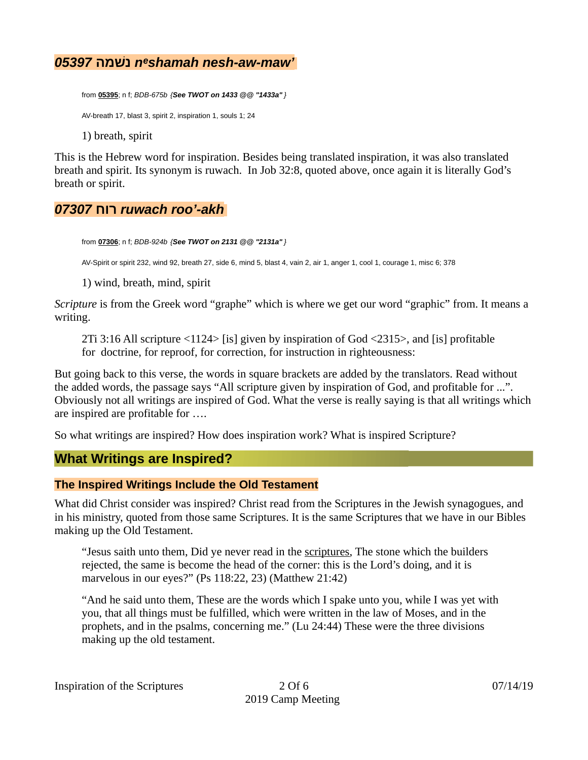## *05397* **נשׁמה** *nᵉshamah nesh-aw-maw'*

from **05395**; n f; *BDB-675b {See TWOT on 1433 @@ "1433a" }* AV-breath 17, blast 3, spirit 2, inspiration 1, souls 1; 24 1) breath, spirit

This is the Hebrew word for inspiration. Besides being translated inspiration, it was also translated breath and spirit. Its synonym is ruwach. In Job 32:8, quoted above, once again it is literally God's breath or spirit.

## *07307* **רוח** *ruwach roo'-akh*

from **07306**; n f; *BDB-924b {See TWOT on 2131 @@ "2131a" }*

AV-Spirit or spirit 232, wind 92, breath 27, side 6, mind 5, blast 4, vain 2, air 1, anger 1, cool 1, courage 1, misc 6; 378

1) wind, breath, mind, spirit

*Scripture* is from the Greek word "graphe" which is where we get our word "graphic" from. It means a writing.

2Ti 3:16 All scripture <1124> [is] given by inspiration of God <2315>, and [is] profitable for doctrine, for reproof, for correction, for instruction in righteousness:

But going back to this verse, the words in square brackets are added by the translators. Read without the added words, the passage says "All scripture given by inspiration of God, and profitable for ...". Obviously not all writings are inspired of God. What the verse is really saying is that all writings which are inspired are profitable for ….

So what writings are inspired? How does inspiration work? What is inspired Scripture?

## **What Writings are Inspired?**

#### **The Inspired Writings Include the Old Testament**

What did Christ consider was inspired? Christ read from the Scriptures in the Jewish synagogues, and in his ministry, quoted from those same Scriptures. It is the same Scriptures that we have in our Bibles making up the Old Testament.

"Jesus saith unto them, Did ye never read in the scriptures, The stone which the builders rejected, the same is become the head of the corner: this is the Lord's doing, and it is marvelous in our eyes?" (Ps 118:22, 23) (Matthew 21:42)

"And he said unto them, These are the words which I spake unto you, while I was yet with you, that all things must be fulfilled, which were written in the law of Moses, and in the prophets, and in the psalms, concerning me." (Lu 24:44) These were the three divisions making up the old testament.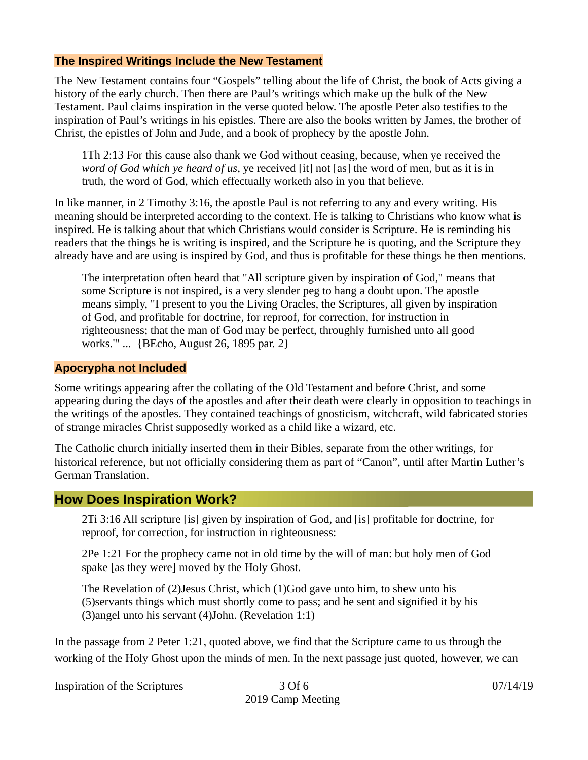#### **The Inspired Writings Include the New Testament**

The New Testament contains four "Gospels" telling about the life of Christ, the book of Acts giving a history of the early church. Then there are Paul's writings which make up the bulk of the New Testament. Paul claims inspiration in the verse quoted below. The apostle Peter also testifies to the inspiration of Paul's writings in his epistles. There are also the books written by James, the brother of Christ, the epistles of John and Jude, and a book of prophecy by the apostle John.

1Th 2:13 For this cause also thank we God without ceasing, because, when ye received the *word of God which ye heard of us*, ye received [it] not [as] the word of men, but as it is in truth, the word of God, which effectually worketh also in you that believe.

In like manner, in 2 Timothy 3:16, the apostle Paul is not referring to any and every writing. His meaning should be interpreted according to the context. He is talking to Christians who know what is inspired. He is talking about that which Christians would consider is Scripture. He is reminding his readers that the things he is writing is inspired, and the Scripture he is quoting, and the Scripture they already have and are using is inspired by God, and thus is profitable for these things he then mentions.

The interpretation often heard that "All scripture given by inspiration of God," means that some Scripture is not inspired, is a very slender peg to hang a doubt upon. The apostle means simply, "I present to you the Living Oracles, the Scriptures, all given by inspiration of God, and profitable for doctrine, for reproof, for correction, for instruction in righteousness; that the man of God may be perfect, throughly furnished unto all good works.'" ... {BEcho, August 26, 1895 par. 2}

#### **Apocrypha not Included**

Some writings appearing after the collating of the Old Testament and before Christ, and some appearing during the days of the apostles and after their death were clearly in opposition to teachings in the writings of the apostles. They contained teachings of gnosticism, witchcraft, wild fabricated stories of strange miracles Christ supposedly worked as a child like a wizard, etc.

The Catholic church initially inserted them in their Bibles, separate from the other writings, for historical reference, but not officially considering them as part of "Canon", until after Martin Luther's German Translation.

#### **How Does Inspiration Work?**

2Ti 3:16 All scripture [is] given by inspiration of God, and [is] profitable for doctrine, for reproof, for correction, for instruction in righteousness:

2Pe 1:21 For the prophecy came not in old time by the will of man: but holy men of God spake [as they were] moved by the Holy Ghost.

The Revelation of (2)Jesus Christ, which (1)God gave unto him, to shew unto his (5)servants things which must shortly come to pass; and he sent and signified it by his (3)angel unto his servant (4)John. (Revelation 1:1)

In the passage from 2 Peter 1:21, quoted above, we find that the Scripture came to us through the working of the Holy Ghost upon the minds of men. In the next passage just quoted, however, we can

Inspiration of the Scriptures 2 Of 6 07/14/19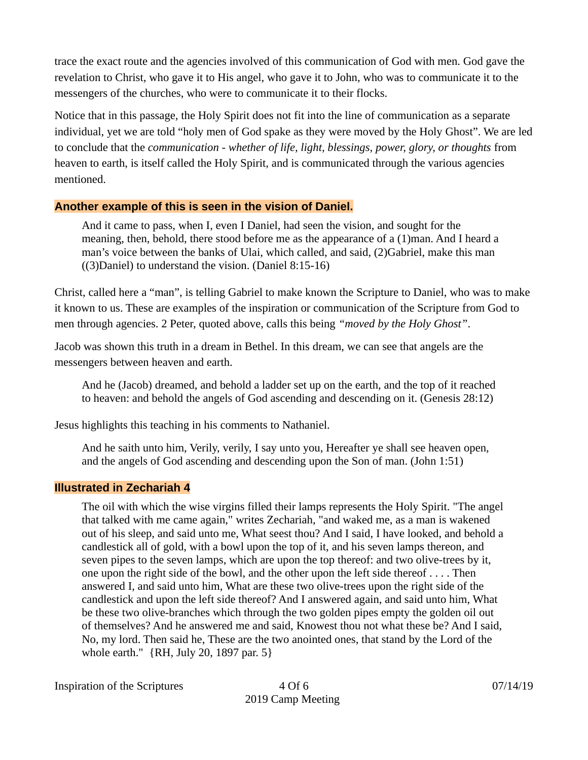trace the exact route and the agencies involved of this communication of God with men. God gave the revelation to Christ, who gave it to His angel, who gave it to John, who was to communicate it to the messengers of the churches, who were to communicate it to their flocks.

Notice that in this passage, the Holy Spirit does not fit into the line of communication as a separate individual, yet we are told "holy men of God spake as they were moved by the Holy Ghost". We are led to conclude that the *communication* - whether of life, light, blessings, power, glory, or thoughts from heaven to earth, is itself called the Holy Spirit, and is communicated through the various agencies mentioned.

## **Another example of this is seen in the vision of Daniel.**

And it came to pass, when I, even I Daniel, had seen the vision, and sought for the meaning, then, behold, there stood before me as the appearance of a (1)man. And I heard a man's voice between the banks of Ulai, which called, and said, (2)Gabriel, make this man ((3)Daniel) to understand the vision. (Daniel 8:15-16)

Christ, called here a "man", is telling Gabriel to make known the Scripture to Daniel, who was to make it known to us. These are examples of the inspiration or communication of the Scripture from God to men through agencies. 2 Peter, quoted above, calls this being *"moved by the Holy Ghost"*.

Jacob was shown this truth in a dream in Bethel. In this dream, we can see that angels are the messengers between heaven and earth.

And he (Jacob) dreamed, and behold a ladder set up on the earth, and the top of it reached to heaven: and behold the angels of God ascending and descending on it. (Genesis 28:12)

Jesus highlights this teaching in his comments to Nathaniel.

And he saith unto him, Verily, verily, I say unto you, Hereafter ye shall see heaven open, and the angels of God ascending and descending upon the Son of man. (John 1:51)

## **Illustrated in Zechariah 4**

The oil with which the wise virgins filled their lamps represents the Holy Spirit. "The angel that talked with me came again," writes Zechariah, "and waked me, as a man is wakened out of his sleep, and said unto me, What seest thou? And I said, I have looked, and behold a candlestick all of gold, with a bowl upon the top of it, and his seven lamps thereon, and seven pipes to the seven lamps, which are upon the top thereof: and two olive-trees by it, one upon the right side of the bowl, and the other upon the left side thereof . . . . Then answered I, and said unto him, What are these two olive-trees upon the right side of the candlestick and upon the left side thereof? And I answered again, and said unto him, What be these two olive-branches which through the two golden pipes empty the golden oil out of themselves? And he answered me and said, Knowest thou not what these be? And I said, No, my lord. Then said he, These are the two anointed ones, that stand by the Lord of the whole earth." {RH, July 20, 1897 par. 5}

Inspiration of the Scriptures  $4 Of 6$  07/14/19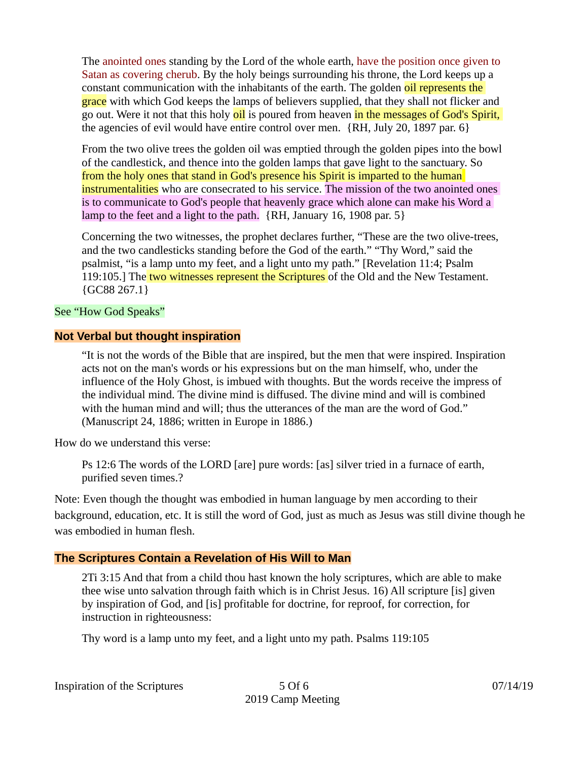The anointed ones standing by the Lord of the whole earth, have the position once given to Satan as covering cherub. By the holy beings surrounding his throne, the Lord keeps up a constant communication with the inhabitants of the earth. The golden oil represents the grace with which God keeps the lamps of believers supplied, that they shall not flicker and go out. Were it not that this holy oil is poured from heaven in the messages of God's Spirit, the agencies of evil would have entire control over men. {RH, July 20, 1897 par. 6}

From the two olive trees the golden oil was emptied through the golden pipes into the bowl of the candlestick, and thence into the golden lamps that gave light to the sanctuary. So from the holy ones that stand in God's presence his Spirit is imparted to the human instrumentalities who are consecrated to his service. The mission of the two anointed ones is to communicate to God's people that heavenly grace which alone can make his Word a lamp to the feet and a light to the path. {RH, January 16, 1908 par. 5}

Concerning the two witnesses, the prophet declares further, "These are the two olive-trees, and the two candlesticks standing before the God of the earth." "Thy Word," said the psalmist, "is a lamp unto my feet, and a light unto my path." [Revelation 11:4; Psalm 119:105.] The two witnesses represent the Scriptures of the Old and the New Testament. {GC88 267.1}

#### See "How God Speaks"

#### **Not Verbal but thought inspiration**

"It is not the words of the Bible that are inspired, but the men that were inspired. Inspiration acts not on the man's words or his expressions but on the man himself, who, under the influence of the Holy Ghost, is imbued with thoughts. But the words receive the impress of the individual mind. The divine mind is diffused. The divine mind and will is combined with the human mind and will; thus the utterances of the man are the word of God." (Manuscript 24, 1886; written in Europe in 1886.)

How do we understand this verse:

Ps 12:6 The words of the LORD [are] pure words: [as] silver tried in a furnace of earth, purified seven times.?

Note: Even though the thought was embodied in human language by men according to their background, education, etc. It is still the word of God, just as much as Jesus was still divine though he was embodied in human flesh.

#### **The Scriptures Contain a Revelation of His Will to Man**

2Ti 3:15 And that from a child thou hast known the holy scriptures, which are able to make thee wise unto salvation through faith which is in Christ Jesus. 16) All scripture [is] given by inspiration of God, and [is] profitable for doctrine, for reproof, for correction, for instruction in righteousness:

Thy word is a lamp unto my feet, and a light unto my path. Psalms 119:105

Inspiration of the Scriptures 5 Of 6 07/14/19